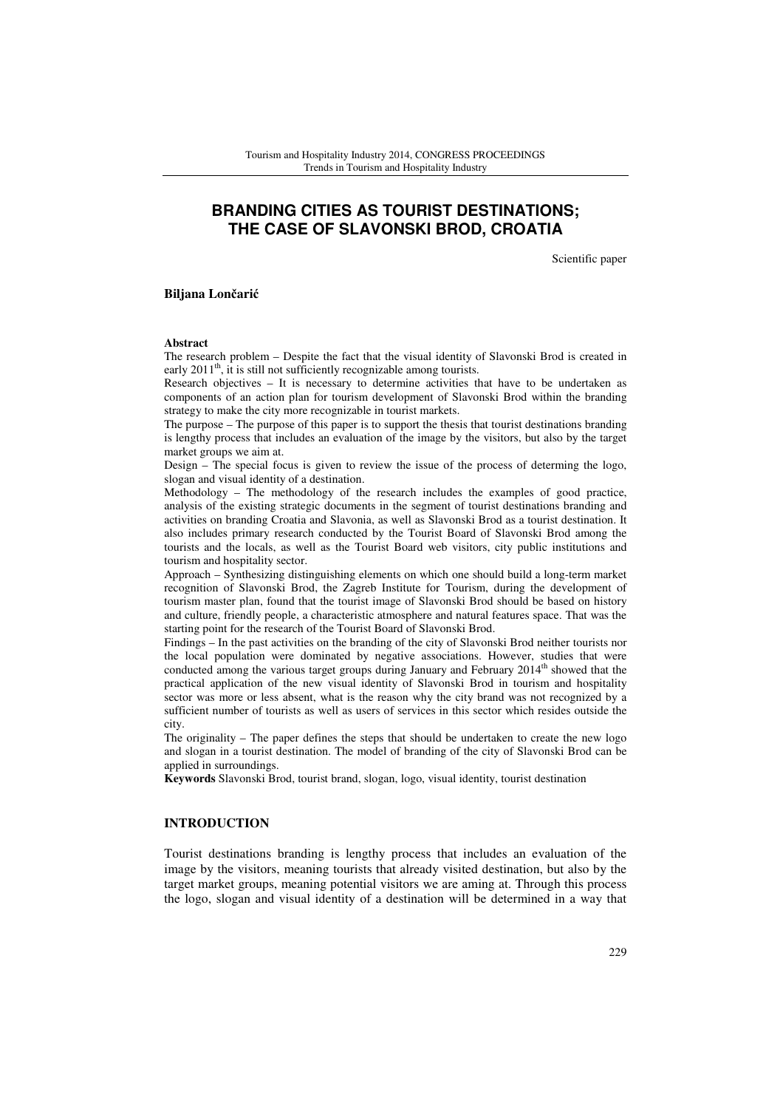# **BRANDING CITIES AS TOURIST DESTINATIONS; THE CASE OF SLAVONSKI BROD, CROATIA**

Scientific paper

**Biljana Lon**č**ari**ć

#### **Abstract**

The research problem – Despite the fact that the visual identity of Slavonski Brod is created in early 2011<sup>th</sup>, it is still not sufficiently recognizable among tourists.

Research objectives – It is necessary to determine activities that have to be undertaken as components of an action plan for tourism development of Slavonski Brod within the branding strategy to make the city more recognizable in tourist markets.

The purpose – The purpose of this paper is to support the thesis that tourist destinations branding is lengthy process that includes an evaluation of the image by the visitors, but also by the target market groups we aim at.

Design – The special focus is given to review the issue of the process of determing the logo, slogan and visual identity of a destination.

Methodology – The methodology of the research includes the examples of good practice, analysis of the existing strategic documents in the segment of tourist destinations branding and activities on branding Croatia and Slavonia, as well as Slavonski Brod as a tourist destination. It also includes primary research conducted by the Tourist Board of Slavonski Brod among the tourists and the locals, as well as the Tourist Board web visitors, city public institutions and tourism and hospitality sector.

Approach – Synthesizing distinguishing elements on which one should build a long-term market recognition of Slavonski Brod, the Zagreb Institute for Tourism, during the development of tourism master plan, found that the tourist image of Slavonski Brod should be based on history and culture, friendly people, a characteristic atmosphere and natural features space. That was the starting point for the research of the Tourist Board of Slavonski Brod.

Findings – In the past activities on the branding of the city of Slavonski Brod neither tourists nor the local population were dominated by negative associations. However, studies that were conducted among the various target groups during January and February 2014<sup>th</sup> showed that the practical application of the new visual identity of Slavonski Brod in tourism and hospitality sector was more or less absent, what is the reason why the city brand was not recognized by a sufficient number of tourists as well as users of services in this sector which resides outside the city.

The originality – The paper defines the steps that should be undertaken to create the new logo and slogan in a tourist destination. The model of branding of the city of Slavonski Brod can be applied in surroundings.

**Keywords** Slavonski Brod, tourist brand, slogan, logo, visual identity, tourist destination

#### **INTRODUCTION**

Tourist destinations branding is lengthy process that includes an evaluation of the image by the visitors, meaning tourists that already visited destination, but also by the target market groups, meaning potential visitors we are aming at. Through this process the logo, slogan and visual identity of a destination will be determined in a way that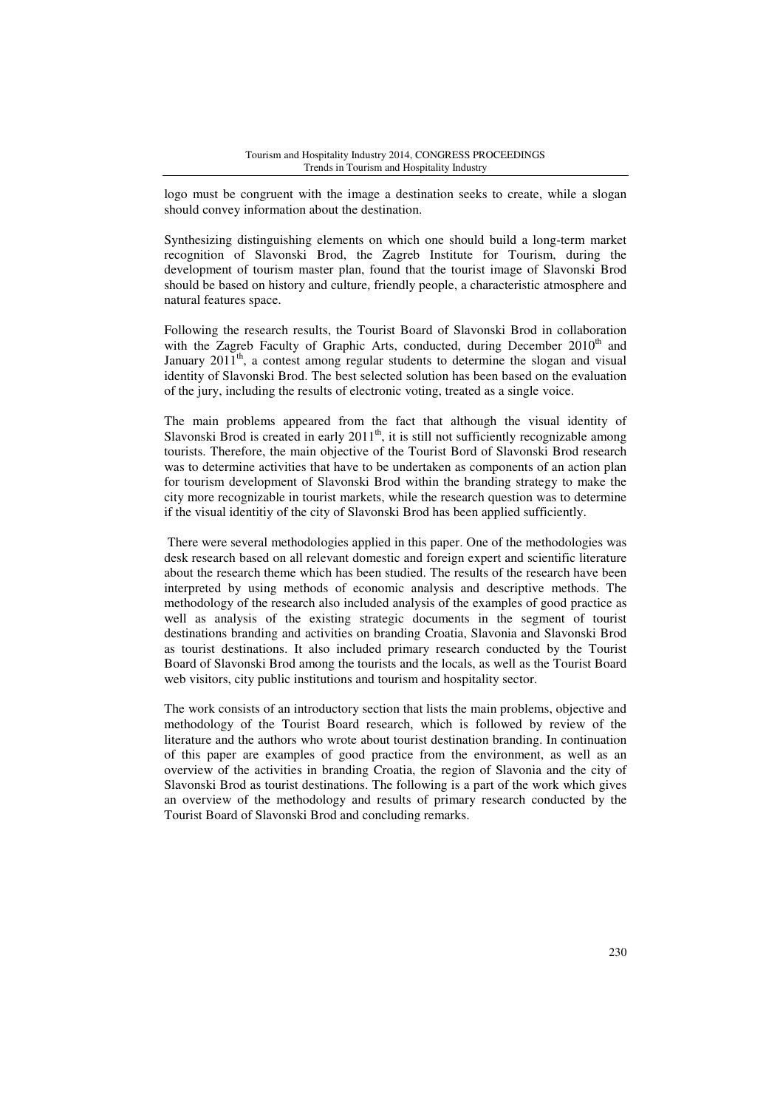logo must be congruent with the image a destination seeks to create, while a slogan should convey information about the destination.

Synthesizing distinguishing elements on which one should build a long-term market recognition of Slavonski Brod, the Zagreb Institute for Tourism, during the development of tourism master plan, found that the tourist image of Slavonski Brod should be based on history and culture, friendly people, a characteristic atmosphere and natural features space.

Following the research results, the Tourist Board of Slavonski Brod in collaboration with the Zagreb Faculty of Graphic Arts, conducted, during December 2010<sup>th</sup> and January  $2011^{th}$ , a contest among regular students to determine the slogan and visual identity of Slavonski Brod. The best selected solution has been based on the evaluation of the jury, including the results of electronic voting, treated as a single voice.

The main problems appeared from the fact that although the visual identity of Slavonski Brod is created in early  $2011<sup>th</sup>$ , it is still not sufficiently recognizable among tourists. Therefore, the main objective of the Tourist Bord of Slavonski Brod research was to determine activities that have to be undertaken as components of an action plan for tourism development of Slavonski Brod within the branding strategy to make the city more recognizable in tourist markets, while the research question was to determine if the visual identitiy of the city of Slavonski Brod has been applied sufficiently.

 There were several methodologies applied in this paper. One of the methodologies was desk research based on all relevant domestic and foreign expert and scientific literature about the research theme which has been studied. The results of the research have been interpreted by using methods of economic analysis and descriptive methods. The methodology of the research also included analysis of the examples of good practice as well as analysis of the existing strategic documents in the segment of tourist destinations branding and activities on branding Croatia, Slavonia and Slavonski Brod as tourist destinations. It also included primary research conducted by the Tourist Board of Slavonski Brod among the tourists and the locals, as well as the Tourist Board web visitors, city public institutions and tourism and hospitality sector.

The work consists of an introductory section that lists the main problems, objective and methodology of the Tourist Board research, which is followed by review of the literature and the authors who wrote about tourist destination branding. In continuation of this paper are examples of good practice from the environment, as well as an overview of the activities in branding Croatia, the region of Slavonia and the city of Slavonski Brod as tourist destinations. The following is a part of the work which gives an overview of the methodology and results of primary research conducted by the Tourist Board of Slavonski Brod and concluding remarks.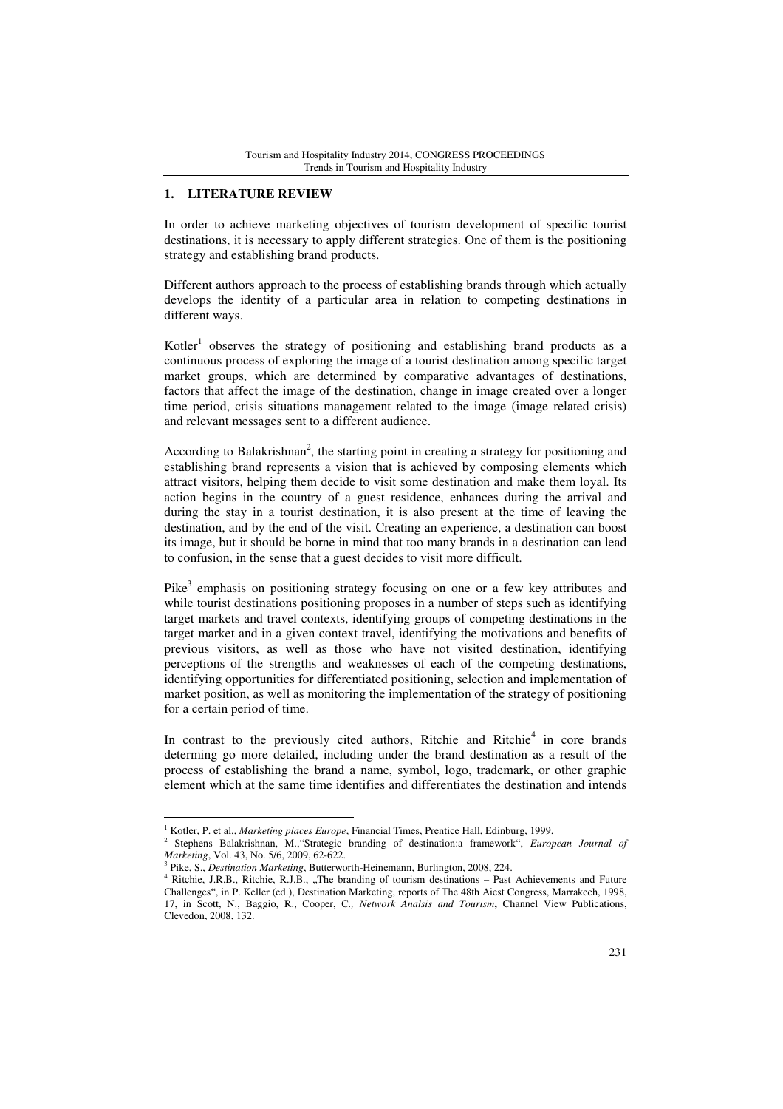### **1. LITERATURE REVIEW**

In order to achieve marketing objectives of tourism development of specific tourist destinations, it is necessary to apply different strategies. One of them is the positioning strategy and establishing brand products.

Different authors approach to the process of establishing brands through which actually develops the identity of a particular area in relation to competing destinations in different ways.

Kotler<sup>1</sup> observes the strategy of positioning and establishing brand products as a continuous process of exploring the image of a tourist destination among specific target market groups, which are determined by comparative advantages of destinations, factors that affect the image of the destination, change in image created over a longer time period, crisis situations management related to the image (image related crisis) and relevant messages sent to a different audience.

According to Balakrishnan<sup>2</sup>, the starting point in creating a strategy for positioning and establishing brand represents a vision that is achieved by composing elements which attract visitors, helping them decide to visit some destination and make them loyal. Its action begins in the country of a guest residence, enhances during the arrival and during the stay in a tourist destination, it is also present at the time of leaving the destination, and by the end of the visit. Creating an experience, a destination can boost its image, but it should be borne in mind that too many brands in a destination can lead to confusion, in the sense that a guest decides to visit more difficult.

Pike<sup>3</sup> emphasis on positioning strategy focusing on one or a few key attributes and while tourist destinations positioning proposes in a number of steps such as identifying target markets and travel contexts, identifying groups of competing destinations in the target market and in a given context travel, identifying the motivations and benefits of previous visitors, as well as those who have not visited destination, identifying perceptions of the strengths and weaknesses of each of the competing destinations, identifying opportunities for differentiated positioning, selection and implementation of market position, as well as monitoring the implementation of the strategy of positioning for a certain period of time.

In contrast to the previously cited authors, Ritchie and Ritchie<sup>4</sup> in core brands determing go more detailed, including under the brand destination as a result of the process of establishing the brand a name, symbol, logo, trademark, or other graphic element which at the same time identifies and differentiates the destination and intends

<sup>&</sup>lt;sup>1</sup> Kotler, P. et al., *Marketing places Europe*, Financial Times, Prentice Hall, Edinburg, 1999.

<sup>2</sup> Stephens Balakrishnan, M.,"Strategic branding of destination:a framework", *European Journal of Marketing*, Vol. 43, No. 5/6, 2009, 62-622. 3

Pike, S., *Destination Marketing*, Butterworth-Heinemann, Burlington, 2008, 224. <sup>4</sup> Ritchie, J.R.B., Ritchie, R.J.B., "The branding of tourism destinations – Past Achievements and Future Challenges", in P. Keller (ed.), Destination Marketing, reports of The 48th Aiest Congress, Marrakech, 1998, 17, in Scott, N., Baggio, R., Cooper, C*., Network Analsis and Tourism***,** Channel View Publications, Clevedon, 2008, 132.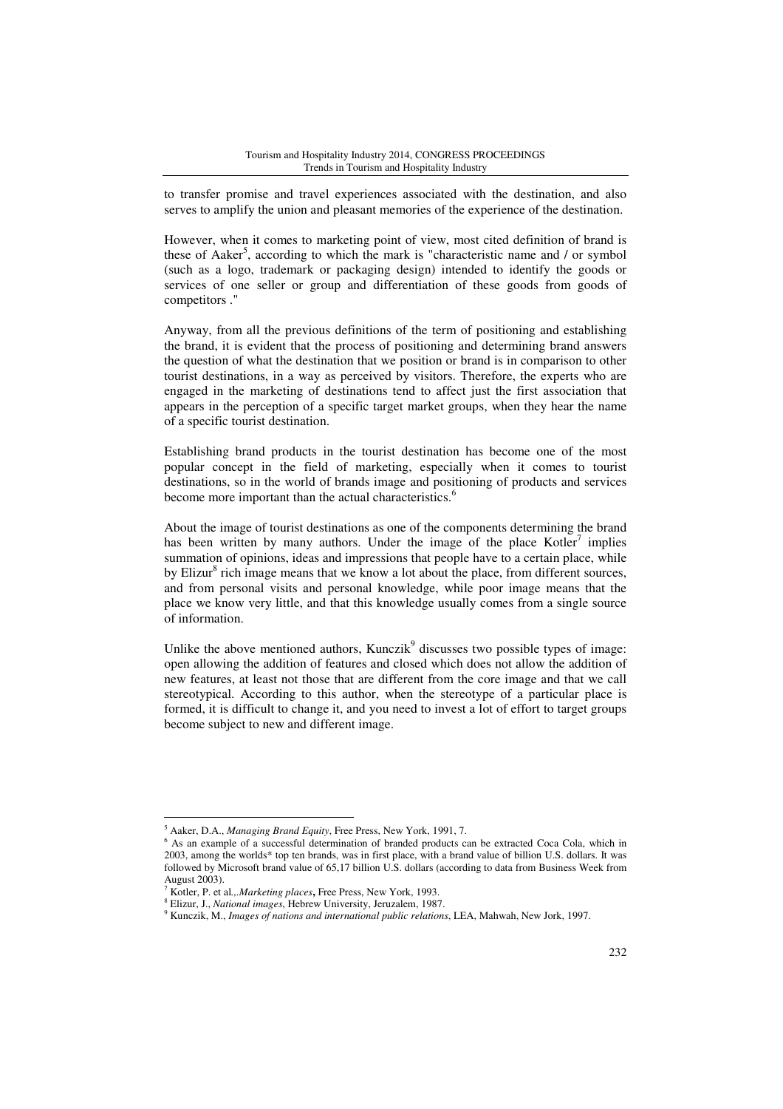to transfer promise and travel experiences associated with the destination, and also serves to amplify the union and pleasant memories of the experience of the destination.

However, when it comes to marketing point of view, most cited definition of brand is these of Aaker<sup>5</sup>, according to which the mark is "characteristic name and / or symbol (such as a logo, trademark or packaging design) intended to identify the goods or services of one seller or group and differentiation of these goods from goods of competitors ."

Anyway, from all the previous definitions of the term of positioning and establishing the brand, it is evident that the process of positioning and determining brand answers the question of what the destination that we position or brand is in comparison to other tourist destinations, in a way as perceived by visitors. Therefore, the experts who are engaged in the marketing of destinations tend to affect just the first association that appears in the perception of a specific target market groups, when they hear the name of a specific tourist destination.

Establishing brand products in the tourist destination has become one of the most popular concept in the field of marketing, especially when it comes to tourist destinations, so in the world of brands image and positioning of products and services become more important than the actual characteristics.<sup>6</sup>

About the image of tourist destinations as one of the components determining the brand has been written by many authors. Under the image of the place  $Kotler<sup>7</sup>$  implies summation of opinions, ideas and impressions that people have to a certain place, while by Elizur<sup>8</sup> rich image means that we know a lot about the place, from different sources, and from personal visits and personal knowledge, while poor image means that the place we know very little, and that this knowledge usually comes from a single source of information.

Unlike the above mentioned authors,  $Kunczik<sup>9</sup>$  discusses two possible types of image: open allowing the addition of features and closed which does not allow the addition of new features, at least not those that are different from the core image and that we call stereotypical. According to this author, when the stereotype of a particular place is formed, it is difficult to change it, and you need to invest a lot of effort to target groups become subject to new and different image.

<sup>5</sup> Aaker, D.A., *Managing Brand Equity*, Free Press, New York, 1991, 7.

<sup>&</sup>lt;sup>6</sup> As an example of a successful determination of branded products can be extracted Coca Cola, which in 2003, among the worlds\* top ten brands, was in first place, with a brand value of billion U.S. dollars. It was followed by Microsoft brand value of 65,17 billion U.S. dollars (according to data from Business Week from August 2003).

<sup>7</sup> Kotler, P. et al*.,.Marketing places***,** Free Press, New York, 1993.

<sup>8</sup> Elizur, J., *National images*, Hebrew University, Jeruzalem, 1987.

<sup>9</sup> Kunczik, M., *Images of nations and international public relations*, LEA, Mahwah, New Jork, 1997.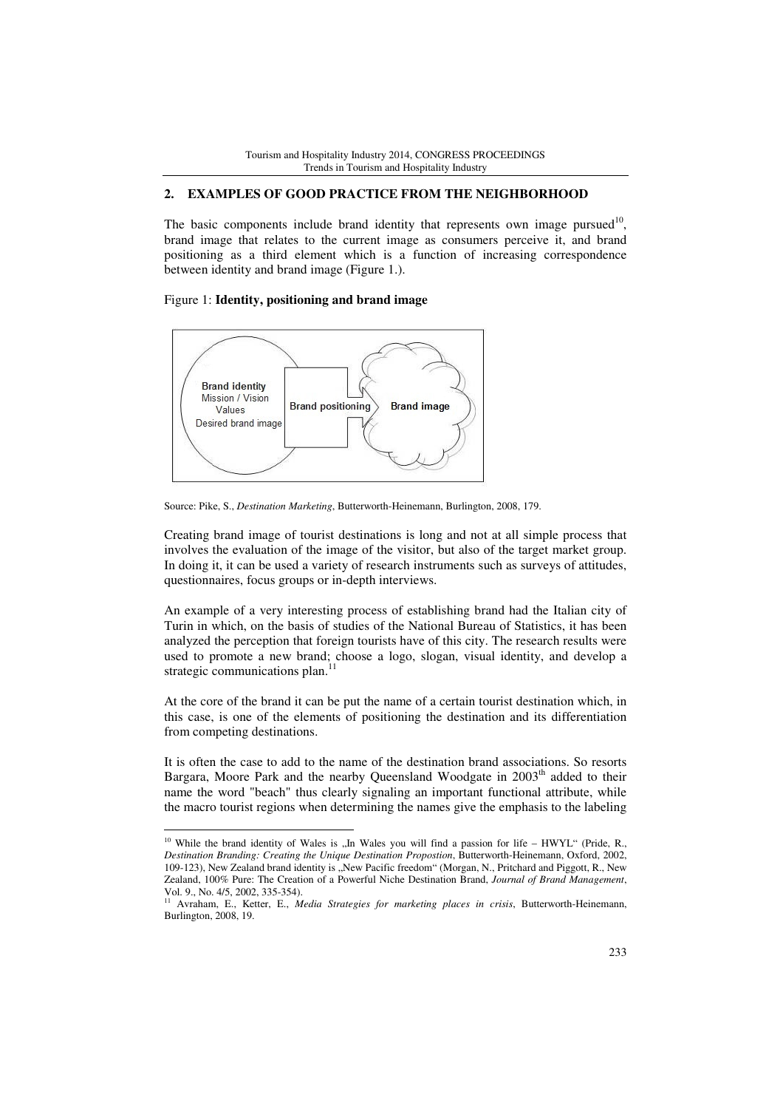## **2. EXAMPLES OF GOOD PRACTICE FROM THE NEIGHBORHOOD**

The basic components include brand identity that represents own image pursued<sup>10</sup>, brand image that relates to the current image as consumers perceive it, and brand positioning as a third element which is a function of increasing correspondence between identity and brand image (Figure 1.).

### Figure 1: **Identity, positioning and brand image**

 $\overline{a}$ 



Source: Pike, S., *Destination Marketing*, Butterworth-Heinemann, Burlington, 2008, 179.

Creating brand image of tourist destinations is long and not at all simple process that involves the evaluation of the image of the visitor, but also of the target market group. In doing it, it can be used a variety of research instruments such as surveys of attitudes, questionnaires, focus groups or in-depth interviews.

An example of a very interesting process of establishing brand had the Italian city of Turin in which, on the basis of studies of the National Bureau of Statistics, it has been analyzed the perception that foreign tourists have of this city. The research results were used to promote a new brand; choose a logo, slogan, visual identity, and develop a strategic communications plan.<sup>11</sup>

At the core of the brand it can be put the name of a certain tourist destination which, in this case, is one of the elements of positioning the destination and its differentiation from competing destinations.

It is often the case to add to the name of the destination brand associations. So resorts Bargara, Moore Park and the nearby Queensland Woodgate in  $2003<sup>th</sup>$  added to their name the word "beach" thus clearly signaling an important functional attribute, while the macro tourist regions when determining the names give the emphasis to the labeling

<sup>&</sup>lt;sup>10</sup> While the brand identity of Wales is "In Wales you will find a passion for life – HWYL" (Pride, R., *Destination Branding: Creating the Unique Destination Propostion*, Butterworth-Heinemann, Oxford, 2002, 109-123), New Zealand brand identity is "New Pacific freedom" (Morgan, N., Pritchard and Piggott, R., New Zealand, 100% Pure: The Creation of a Powerful Niche Destination Brand, *Journal of Brand Management*, Vol. 9., No. 4/5, 2002, 335-354).

<sup>11</sup> Avraham, E., Ketter, E., *Media Strategies for marketing places in crisis*, Butterworth-Heinemann, Burlington, 2008, 19.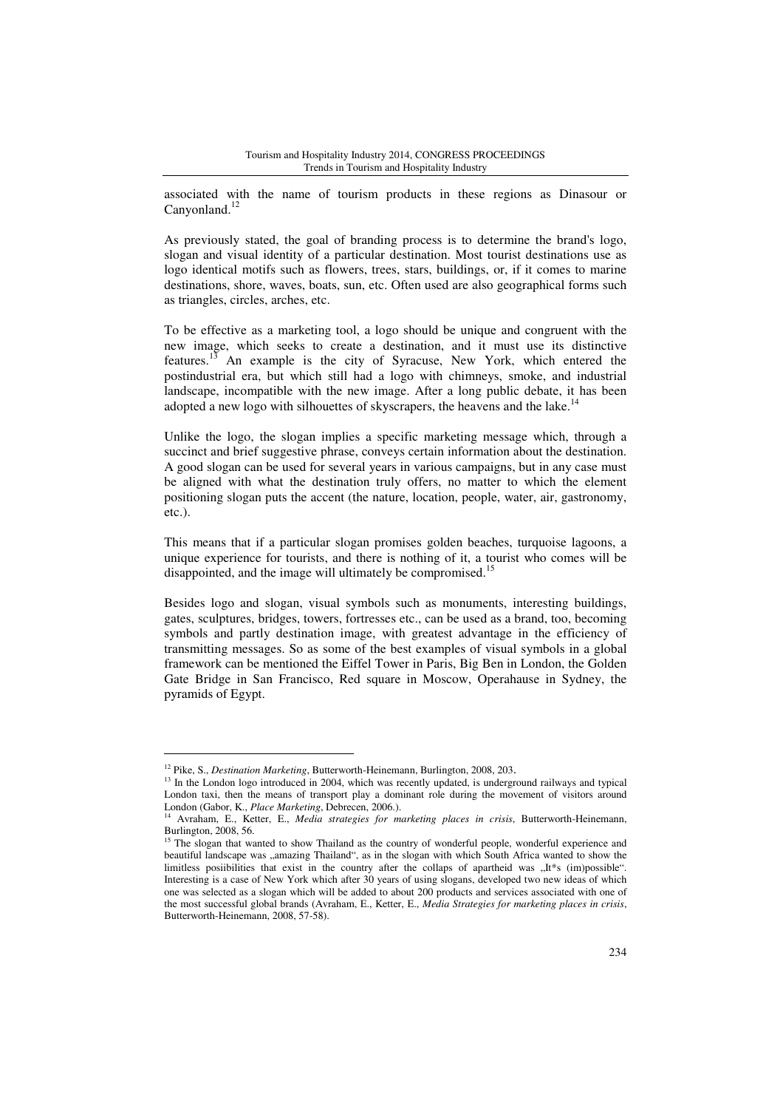associated with the name of tourism products in these regions as Dinasour or Canyonland.<sup>12</sup>

As previously stated, the goal of branding process is to determine the brand's logo, slogan and visual identity of a particular destination. Most tourist destinations use as logo identical motifs such as flowers, trees, stars, buildings, or, if it comes to marine destinations, shore, waves, boats, sun, etc. Often used are also geographical forms such as triangles, circles, arches, etc.

To be effective as a marketing tool, a logo should be unique and congruent with the new image, which seeks to create a destination, and it must use its distinctive features.<sup>13</sup> An example is the city of Syracuse, New York, which entered the postindustrial era, but which still had a logo with chimneys, smoke, and industrial landscape, incompatible with the new image. After a long public debate, it has been adopted a new logo with silhouettes of skyscrapers, the heavens and the lake.<sup>14</sup>

Unlike the logo, the slogan implies a specific marketing message which, through a succinct and brief suggestive phrase, conveys certain information about the destination. A good slogan can be used for several years in various campaigns, but in any case must be aligned with what the destination truly offers, no matter to which the element positioning slogan puts the accent (the nature, location, people, water, air, gastronomy, etc.).

This means that if a particular slogan promises golden beaches, turquoise lagoons, a unique experience for tourists, and there is nothing of it, a tourist who comes will be disappointed, and the image will ultimately be compromised.<sup>15</sup>

Besides logo and slogan, visual symbols such as monuments, interesting buildings, gates, sculptures, bridges, towers, fortresses etc., can be used as a brand, too, becoming symbols and partly destination image, with greatest advantage in the efficiency of transmitting messages. So as some of the best examples of visual symbols in a global framework can be mentioned the Eiffel Tower in Paris, Big Ben in London, the Golden Gate Bridge in San Francisco, Red square in Moscow, Operahause in Sydney, the pyramids of Egypt.

<sup>12</sup> Pike, S., *Destination Marketing*, Butterworth-Heinemann, Burlington, 2008, 203.

<sup>&</sup>lt;sup>13</sup> In the London logo introduced in 2004, which was recently updated, is underground railways and typical London taxi, then the means of transport play a dominant role during the movement of visitors around London (Gabor, K., *Place Marketing*, Debrecen, 2006.).

<sup>14</sup> Avraham, E., Ketter, E., *Media strategies for marketing places in crisis*, Butterworth-Heinemann, Burlington, 2008, 56.

<sup>&</sup>lt;sup>15</sup> The slogan that wanted to show Thailand as the country of wonderful people, wonderful experience and beautiful landscape was "amazing Thailand", as in the slogan with which South Africa wanted to show the limitless posiibilities that exist in the country after the collaps of apartheid was "It\*s (im)possible". Interesting is a case of New York which after 30 years of using slogans, developed two new ideas of which one was selected as a slogan which will be added to about 200 products and services associated with one of the most successful global brands (Avraham, E., Ketter, E., *Media Strategies for marketing places in crisis*, Butterworth-Heinemann, 2008, 57-58).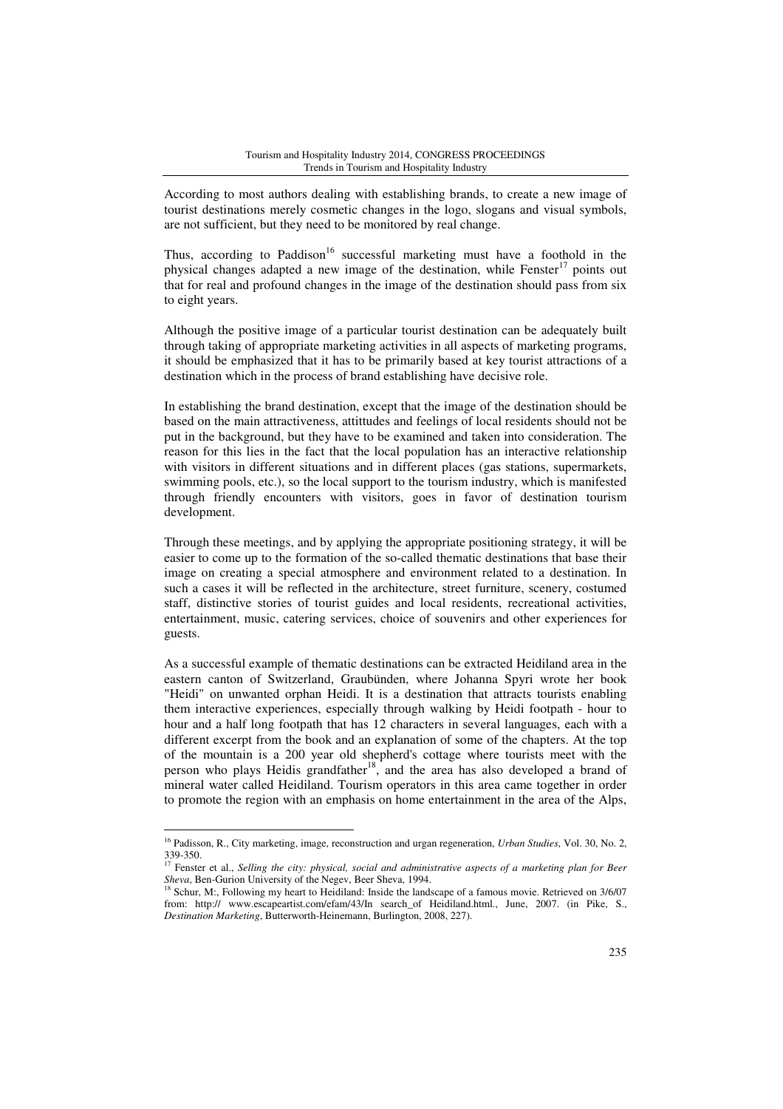According to most authors dealing with establishing brands, to create a new image of tourist destinations merely cosmetic changes in the logo, slogans and visual symbols, are not sufficient, but they need to be monitored by real change.

Thus, according to Paddison<sup>16</sup> successful marketing must have a foothold in the physical changes adapted a new image of the destination, while  $Fenster<sup>17</sup>$  points out that for real and profound changes in the image of the destination should pass from six to eight years.

Although the positive image of a particular tourist destination can be adequately built through taking of appropriate marketing activities in all aspects of marketing programs, it should be emphasized that it has to be primarily based at key tourist attractions of a destination which in the process of brand establishing have decisive role.

In establishing the brand destination, except that the image of the destination should be based on the main attractiveness, attittudes and feelings of local residents should not be put in the background, but they have to be examined and taken into consideration. The reason for this lies in the fact that the local population has an interactive relationship with visitors in different situations and in different places (gas stations, supermarkets, swimming pools, etc.), so the local support to the tourism industry, which is manifested through friendly encounters with visitors, goes in favor of destination tourism development.

Through these meetings, and by applying the appropriate positioning strategy, it will be easier to come up to the formation of the so-called thematic destinations that base their image on creating a special atmosphere and environment related to a destination. In such a cases it will be reflected in the architecture, street furniture, scenery, costumed staff, distinctive stories of tourist guides and local residents, recreational activities, entertainment, music, catering services, choice of souvenirs and other experiences for guests.

As a successful example of thematic destinations can be extracted Heidiland area in the eastern canton of Switzerland, Graubünden, where Johanna Spyri wrote her book "Heidi" on unwanted orphan Heidi. It is a destination that attracts tourists enabling them interactive experiences, especially through walking by Heidi footpath - hour to hour and a half long footpath that has 12 characters in several languages, each with a different excerpt from the book and an explanation of some of the chapters. At the top of the mountain is a 200 year old shepherd's cottage where tourists meet with the person who plays Heidis grandfather<sup>18</sup>, and the area has also developed a brand of mineral water called Heidiland. Tourism operators in this area came together in order to promote the region with an emphasis on home entertainment in the area of the Alps,

<sup>16</sup> Padisson, R., City marketing, image, reconstruction and urgan regeneration, *Urban Studies*, Vol. 30, No. 2,  $339-350.$ 

<sup>17</sup> Fenster et al., *Selling the city: physical, social and administrative aspects of a marketing plan for Beer Sheva*, Ben-Gurion University of the Negev, Beer Sheva, 1994.

<sup>&</sup>lt;sup>18</sup> Schur, M:, Following my heart to Heidiland: Inside the landscape of a famous movie. Retrieved on 3/6/07 from: http:// www.escapeartist.com/efam/43/In search\_of Heidiland.html., June, 2007. (in Pike, S., *Destination Marketing*, Butterworth-Heinemann, Burlington, 2008, 227).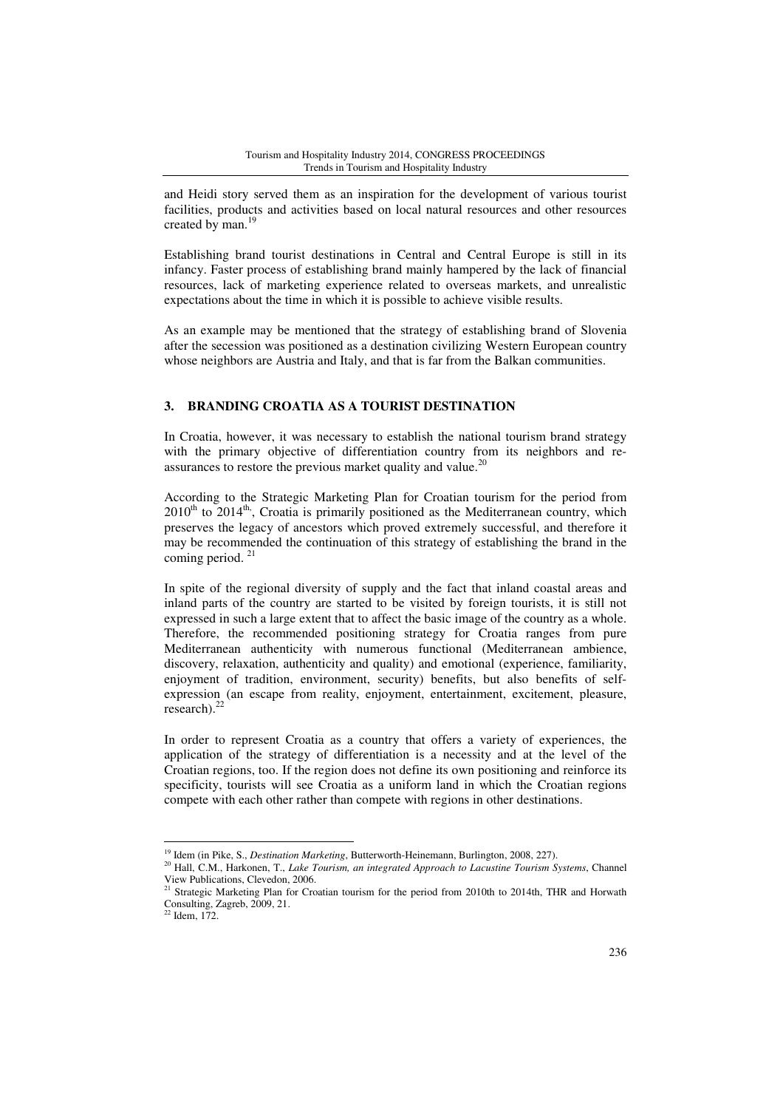and Heidi story served them as an inspiration for the development of various tourist facilities, products and activities based on local natural resources and other resources created by man.<sup>19</sup>

Establishing brand tourist destinations in Central and Central Europe is still in its infancy. Faster process of establishing brand mainly hampered by the lack of financial resources, lack of marketing experience related to overseas markets, and unrealistic expectations about the time in which it is possible to achieve visible results.

As an example may be mentioned that the strategy of establishing brand of Slovenia after the secession was positioned as a destination civilizing Western European country whose neighbors are Austria and Italy, and that is far from the Balkan communities.

# **3. BRANDING CROATIA AS A TOURIST DESTINATION**

In Croatia, however, it was necessary to establish the national tourism brand strategy with the primary objective of differentiation country from its neighbors and reassurances to restore the previous market quality and value.<sup>20</sup>

According to the Strategic Marketing Plan for Croatian tourism for the period from  $2010<sup>th</sup>$  to  $2014<sup>th</sup>$ , Croatia is primarily positioned as the Mediterranean country, which preserves the legacy of ancestors which proved extremely successful, and therefore it may be recommended the continuation of this strategy of establishing the brand in the coming period.<sup>21</sup>

In spite of the regional diversity of supply and the fact that inland coastal areas and inland parts of the country are started to be visited by foreign tourists, it is still not expressed in such a large extent that to affect the basic image of the country as a whole. Therefore, the recommended positioning strategy for Croatia ranges from pure Mediterranean authenticity with numerous functional (Mediterranean ambience, discovery, relaxation, authenticity and quality) and emotional (experience, familiarity, enjoyment of tradition, environment, security) benefits, but also benefits of selfexpression (an escape from reality, enjoyment, entertainment, excitement, pleasure, research).<sup>22</sup>

In order to represent Croatia as a country that offers a variety of experiences, the application of the strategy of differentiation is a necessity and at the level of the Croatian regions, too. If the region does not define its own positioning and reinforce its specificity, tourists will see Croatia as a uniform land in which the Croatian regions compete with each other rather than compete with regions in other destinations.

 $\overline{a}$ <sup>19</sup> Idem (in Pike, S., *Destination Marketing*, Butterworth-Heinemann, Burlington, 2008, 227).

<sup>20</sup> Hall, C.M., Harkonen, T., *Lake Tourism, an integrated Approach to Lacustine Tourism Systems*, Channel View Publications, Clevedon, 2006.

<sup>&</sup>lt;sup>21</sup> Strategic Marketing Plan for Croatian tourism for the period from 2010th to 2014th, THR and Horwath Consulting, Zagreb, 2009, 21.

 $22$  Idem, 172.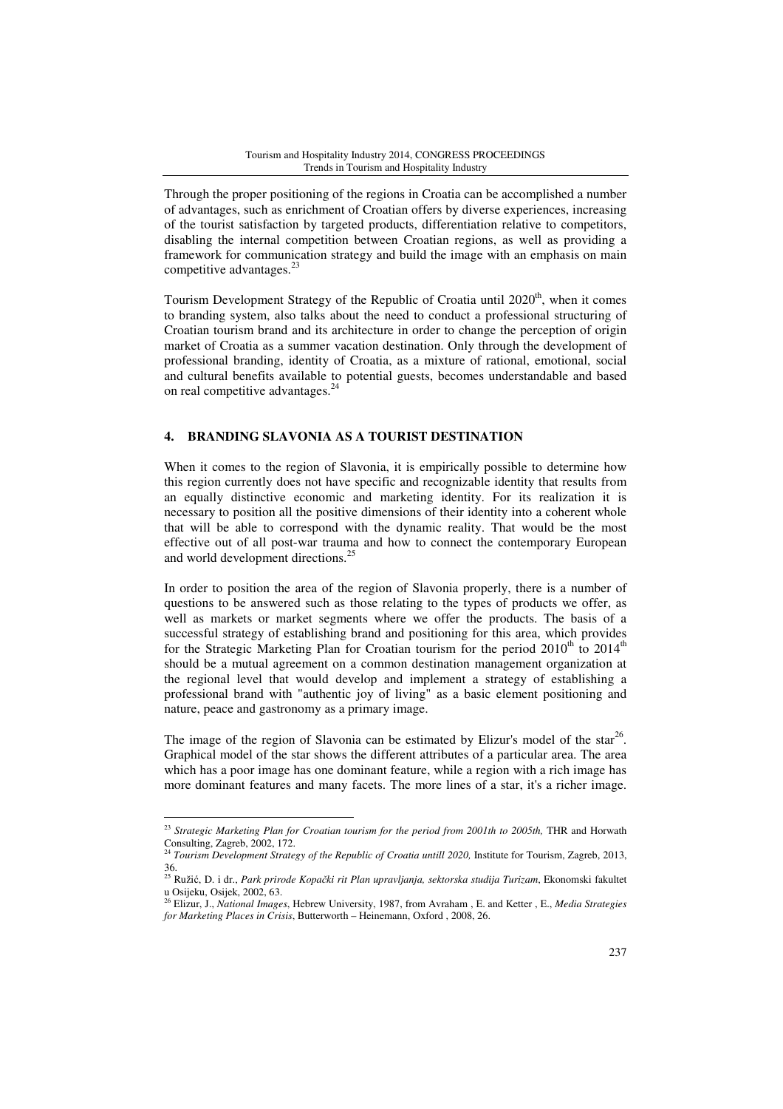Through the proper positioning of the regions in Croatia can be accomplished a number of advantages, such as enrichment of Croatian offers by diverse experiences, increasing of the tourist satisfaction by targeted products, differentiation relative to competitors, disabling the internal competition between Croatian regions, as well as providing a framework for communication strategy and build the image with an emphasis on main competitive advantages. $^{23}$ 

Tourism Development Strategy of the Republic of Croatia until  $2020<sup>th</sup>$ , when it comes to branding system, also talks about the need to conduct a professional structuring of Croatian tourism brand and its architecture in order to change the perception of origin market of Croatia as a summer vacation destination. Only through the development of professional branding, identity of Croatia, as a mixture of rational, emotional, social and cultural benefits available to potential guests, becomes understandable and based on real competitive advantages.<sup>24</sup>

# **4. BRANDING SLAVONIA AS A TOURIST DESTINATION**

When it comes to the region of Slavonia, it is empirically possible to determine how this region currently does not have specific and recognizable identity that results from an equally distinctive economic and marketing identity. For its realization it is necessary to position all the positive dimensions of their identity into a coherent whole that will be able to correspond with the dynamic reality. That would be the most effective out of all post-war trauma and how to connect the contemporary European and world development directions.<sup>25</sup>

In order to position the area of the region of Slavonia properly, there is a number of questions to be answered such as those relating to the types of products we offer, as well as markets or market segments where we offer the products. The basis of a successful strategy of establishing brand and positioning for this area, which provides for the Strategic Marketing Plan for Croatian tourism for the period  $2010^{th}$  to  $2014^{th}$ should be a mutual agreement on a common destination management organization at the regional level that would develop and implement a strategy of establishing a professional brand with "authentic joy of living" as a basic element positioning and nature, peace and gastronomy as a primary image.

The image of the region of Slavonia can be estimated by Elizur's model of the star<sup>26</sup>. Graphical model of the star shows the different attributes of a particular area. The area which has a poor image has one dominant feature, while a region with a rich image has more dominant features and many facets. The more lines of a star, it's a richer image.

<sup>&</sup>lt;sup>23</sup> Strategic Marketing Plan for Croatian tourism for the period from 2001th to 2005th, THR and Horwath Consulting, Zagreb, 2002, 172.

<sup>&</sup>lt;sup>24</sup> *Tourism Development Strategy of the Republic of Croatia untill 2020*, Institute for Tourism, Zagreb, 2013,

<sup>36.</sup>  <sup>25</sup> Ružić, D. i dr., *Park prirode Kopa*č*ki rit Plan upravljanja, sektorska studija Turizam*, Ekonomski fakultet

u Osijeku, Osijek, 2002, 63. <sup>26</sup> Elizur, J., *National Images*, Hebrew University, 1987, from Avraham , E. and Ketter , E., *Media Strategies for Marketing Places in Crisis*, Butterworth – Heinemann, Oxford , 2008, 26.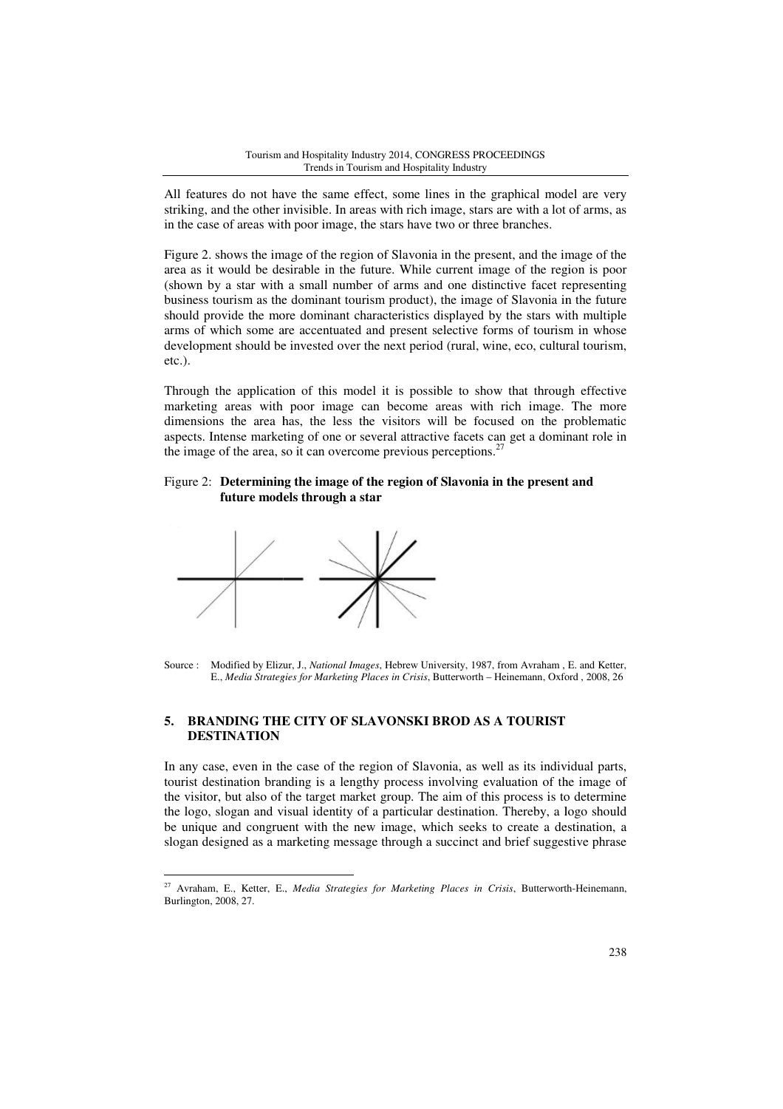All features do not have the same effect, some lines in the graphical model are very striking, and the other invisible. In areas with rich image, stars are with a lot of arms, as in the case of areas with poor image, the stars have two or three branches.

Figure 2. shows the image of the region of Slavonia in the present, and the image of the area as it would be desirable in the future. While current image of the region is poor (shown by a star with a small number of arms and one distinctive facet representing business tourism as the dominant tourism product), the image of Slavonia in the future should provide the more dominant characteristics displayed by the stars with multiple arms of which some are accentuated and present selective forms of tourism in whose development should be invested over the next period (rural, wine, eco, cultural tourism, etc.).

Through the application of this model it is possible to show that through effective marketing areas with poor image can become areas with rich image. The more dimensions the area has, the less the visitors will be focused on the problematic aspects. Intense marketing of one or several attractive facet facets can get a dominant role in the image of the area, so it can overcome previous perceptions.<sup>27</sup>

# Figure 2: **Determining the image of the region of Slavonia in the present and future models through a star**



 $\overline{a}$ 

# **5. BRANDING THE CITY OF SLAVONSKI BROD AS A TOURIST DESTINATION**

In any case, even in the case of the region of Slavonia, as well as its individual parts, tourist destination branding is a lengthy process involving evaluation of the image of the visitor, but also of the target market group. The aim of this process is to determine the logo, slogan and visual identity of a particular destination. Thereby, a logo should be unique and congruent with the new image, which seeks to create a destination, a slogan designed as a marketing message through a succinct and brief suggestive phrase lengthy<br>market<br>tity of a<br>he new i

Source : Modified by Elizur, J., *National Images*, Hebrew University, 1987, from Avraham, E. and Ketter, E., *Media Strategies for Marketing Places in Crisis*, Butterworth – Heinemann, Oxford , 2008, 26

<sup>&</sup>lt;sup>27</sup> Avraham, E., Ketter, E., *Media Strategies for Marketing Places in Crisis*, Butterworth-Heinemann, Burlington, 2008, 27.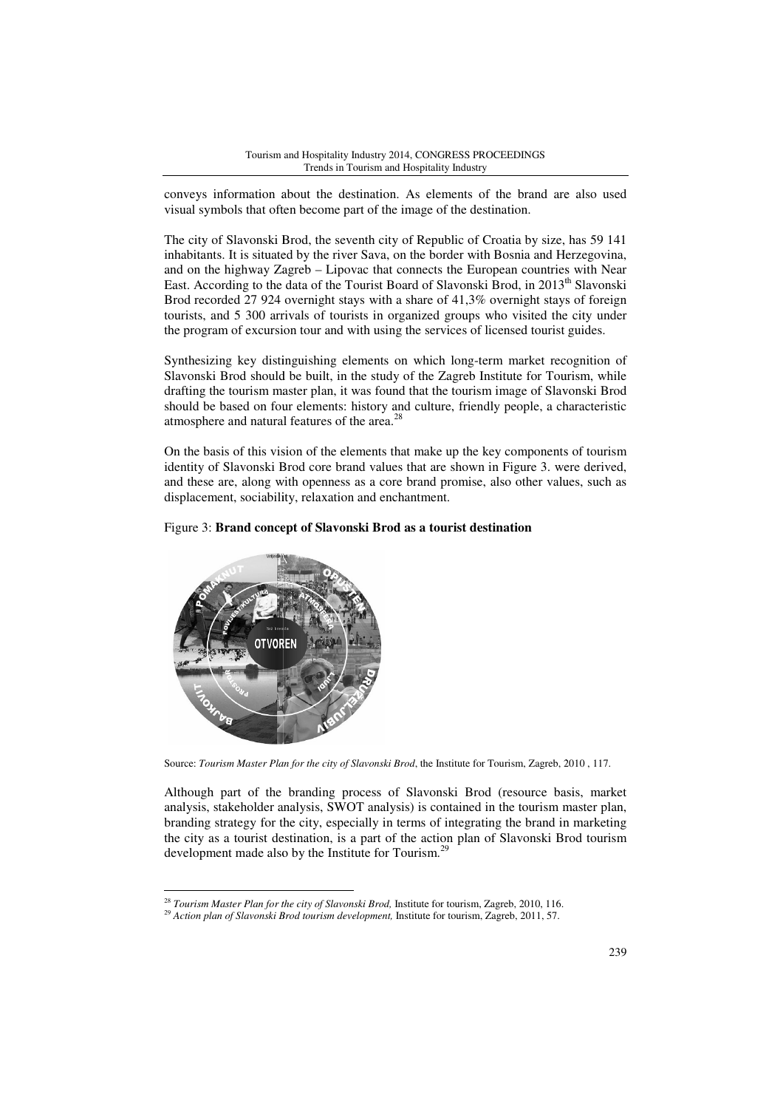#### Tourism and Hospitality Industry 2014, CONGRESS PROCEEDINGS Trends in Tourism and Hospitality Industry

conveys information about the destination. As elements of the brand are also used visual symbols that often become part of the image of the destination.

The city of Slavonski Brod, the seventh city of Republic of Croatia by size, has 59 141 inhabitants. It is situated by the river Sava, on the border with Bosnia and Herzegovina, and on the highway Zagreb – Lipovac that connects the European countries with Near East. According to the data of the Tourist Board of Slavonski Brod, in 2013<sup>th</sup> Slavonski Brod recorded 27 924 overnight stays with a share of 41,3% overnight stays of foreign tourists, and 5 300 arrivals of tourists in organized groups who visited the city under the program of excursion tour and with using the services of licensed tourist guides. % overnight stays of foreign<br>i who visited the city under<br>f licensed tourist guides.<br>term market recognition of<br>Institute for Tourism, while

Synthesizing key distinguishing elements on which long-term market recognition of Slavonski Brod should be built, in the study of the Zagreb Institute for Tourism drafting the tourism master plan, it was found that the tourism image of Slavonski Brod should be based on four elements: history and culture, friendly people, a characteristic atmosphere and natural features of the area.<sup>28</sup>

On the basis of this vision of the elements that make up the key components of tourism identity of Slavonski Brod core brand values that are shown in Figure 3. were derived, and these are, along with openness as a core brand promise, also other values, such as displacement, sociability, relaxation and enchantment.

# Figure 3: **Brand concept of Slavonski Brod as a tourist destination**



 $\overline{a}$ 

Source: *Tourism Master Plan for the city of Slavonski Brod*, the Institute for Tourism, Zagreb, 2010 , 117.

Although part of the branding process of Slavonski Brod (resource basis, market analysis, stakeholder analysis, SWOT analysis) is contained in the tourism master plan, branding strategy for the city, especially in terms of integrating the brand in marketing the city as a tourist destination, is is a part of the action plan of Slavonski Brod tourism development made also by the Institute for Tourism.<sup>29</sup>

<sup>&</sup>lt;sup>28</sup> Tourism Master Plan for the city of Slavonski Brod, Institute for tourism, Zagreb, 2010, 116.

<sup>&</sup>lt;sup>29</sup> Action plan of Slavonski Brod tourism development, Institute for tourism, Zagreb, 2011, 57.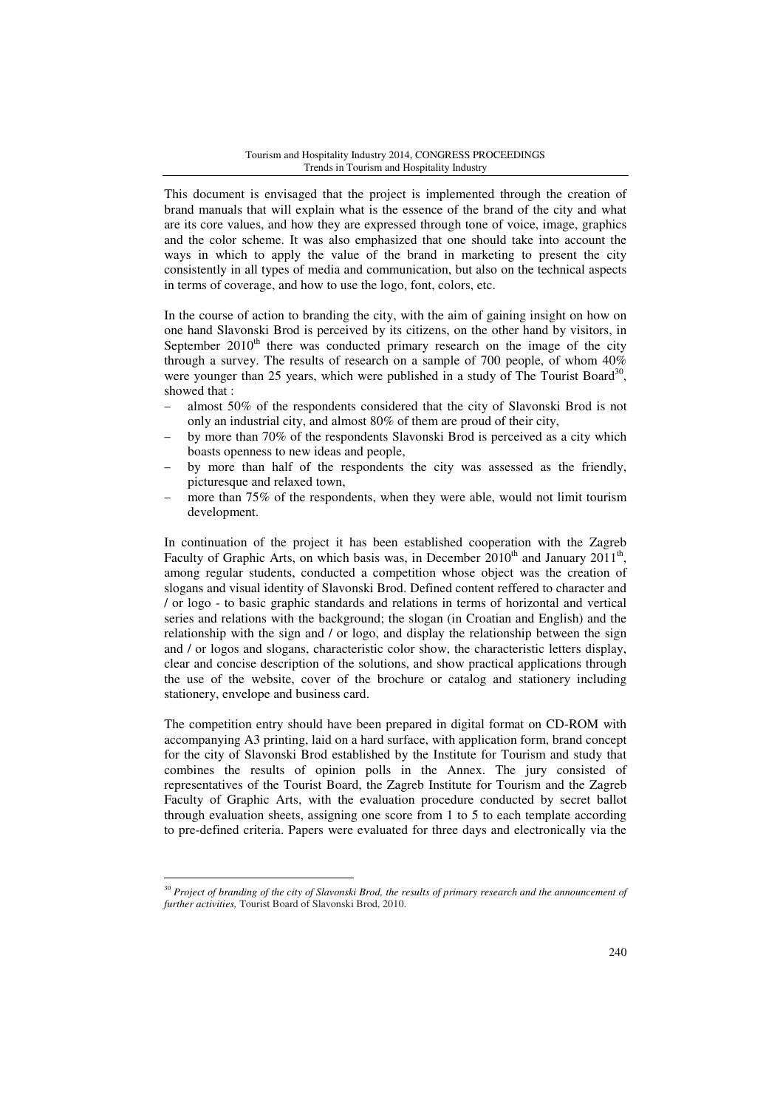This document is envisaged that the project is implemented through the creation of brand manuals that will explain what is the essence of the brand of the city and what are its core values, and how they are expressed through tone of voice, image, graphics and the color scheme. It was also emphasized that one should take into account the ways in which to apply the value of the brand in marketing to present the city consistently in all types of media and communication, but also on the technical aspects in terms of coverage, and how to use the logo, font, colors, etc.

In the course of action to branding the city, with the aim of gaining insight on how on one hand Slavonski Brod is perceived by its citizens, on the other hand by visitors, in September  $2010<sup>th</sup>$  there was conducted primary research on the image of the city through a survey. The results of research on a sample of 700 people, of whom 40% were younger than 25 years, which were published in a study of The Tourist Board<sup>30</sup>, showed that :

- almost 50% of the respondents considered that the city of Slavonski Brod is not only an industrial city, and almost 80% of them are proud of their city,
- by more than 70% of the respondents Slavonski Brod is perceived as a city which boasts openness to new ideas and people,
- by more than half of the respondents the city was assessed as the friendly, picturesque and relaxed town,
- more than 75% of the respondents, when they were able, would not limit tourism development.

In continuation of the project it has been established cooperation with the Zagreb Faculty of Graphic Arts, on which basis was, in December  $2010^{th}$  and January  $2011^{th}$ , among regular students, conducted a competition whose object was the creation of slogans and visual identity of Slavonski Brod. Defined content reffered to character and / or logo - to basic graphic standards and relations in terms of horizontal and vertical series and relations with the background; the slogan (in Croatian and English) and the relationship with the sign and / or logo, and display the relationship between the sign and / or logos and slogans, characteristic color show, the characteristic letters display, clear and concise description of the solutions, and show practical applications through the use of the website, cover of the brochure or catalog and stationery including stationery, envelope and business card.

The competition entry should have been prepared in digital format on CD-ROM with accompanying A3 printing, laid on a hard surface, with application form, brand concept for the city of Slavonski Brod established by the Institute for Tourism and study that combines the results of opinion polls in the Annex. The jury consisted of representatives of the Tourist Board, the Zagreb Institute for Tourism and the Zagreb Faculty of Graphic Arts, with the evaluation procedure conducted by secret ballot through evaluation sheets, assigning one score from 1 to 5 to each template according to pre-defined criteria. Papers were evaluated for three days and electronically via the

<sup>&</sup>lt;sup>30</sup> Project of branding of the city of Slavonski Brod, the results of primary research and the announcement of *further activities,* Tourist Board of Slavonski Brod, 2010.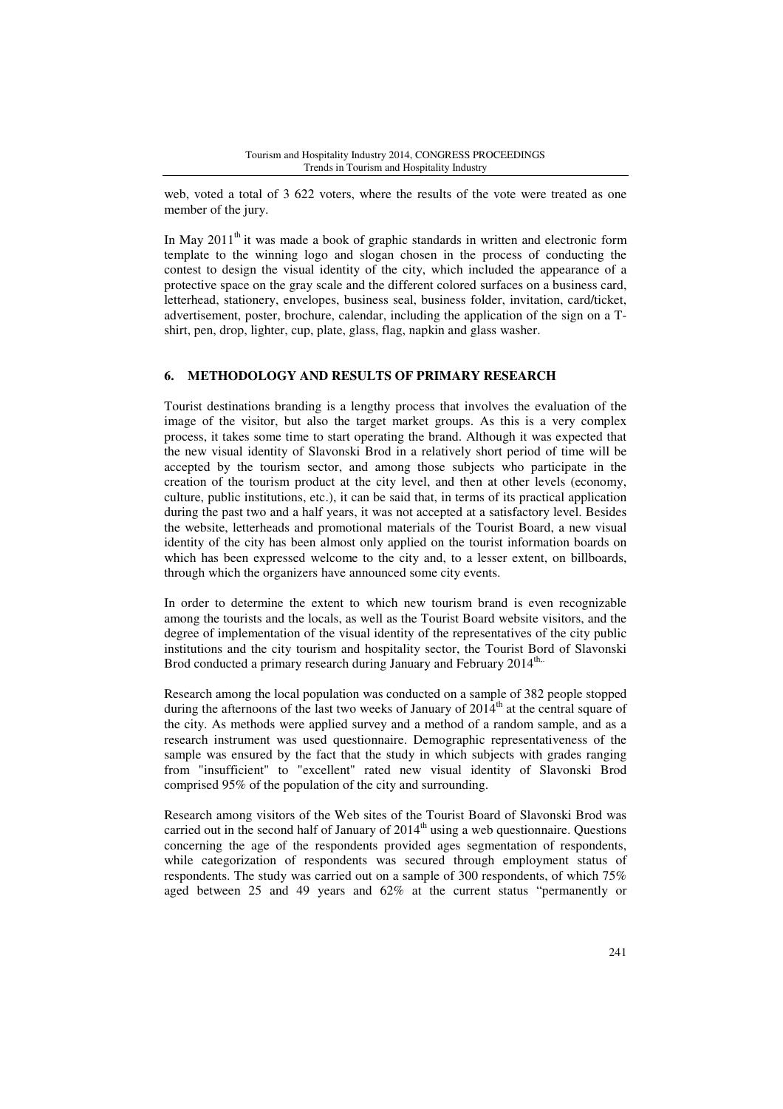web, voted a total of 3 622 voters, where the results of the vote were treated as one member of the jury.

In May  $2011<sup>th</sup>$  it was made a book of graphic standards in written and electronic form template to the winning logo and slogan chosen in the process of conducting the contest to design the visual identity of the city, which included the appearance of a protective space on the gray scale and the different colored surfaces on a business card, letterhead, stationery, envelopes, business seal, business folder, invitation, card/ticket, advertisement, poster, brochure, calendar, including the application of the sign on a Tshirt, pen, drop, lighter, cup, plate, glass, flag, napkin and glass washer.

### **6. METHODOLOGY AND RESULTS OF PRIMARY RESEARCH**

Tourist destinations branding is a lengthy process that involves the evaluation of the image of the visitor, but also the target market groups. As this is a very complex process, it takes some time to start operating the brand. Although it was expected that the new visual identity of Slavonski Brod in a relatively short period of time will be accepted by the tourism sector, and among those subjects who participate in the creation of the tourism product at the city level, and then at other levels (economy, culture, public institutions, etc.), it can be said that, in terms of its practical application during the past two and a half years, it was not accepted at a satisfactory level. Besides the website, letterheads and promotional materials of the Tourist Board, a new visual identity of the city has been almost only applied on the tourist information boards on which has been expressed welcome to the city and, to a lesser extent, on billboards, through which the organizers have announced some city events.

In order to determine the extent to which new tourism brand is even recognizable among the tourists and the locals, as well as the Tourist Board website visitors, and the degree of implementation of the visual identity of the representatives of the city public institutions and the city tourism and hospitality sector, the Tourist Bord of Slavonski Brod conducted a primary research during January and February 2014<sup>th,.</sup>

Research among the local population was conducted on a sample of 382 people stopped during the afternoons of the last two weeks of January of  $2014<sup>th</sup>$  at the central square of the city. As methods were applied survey and a method of a random sample, and as a research instrument was used questionnaire. Demographic representativeness of the sample was ensured by the fact that the study in which subjects with grades ranging from "insufficient" to "excellent" rated new visual identity of Slavonski Brod comprised 95% of the population of the city and surrounding.

Research among visitors of the Web sites of the Tourist Board of Slavonski Brod was carried out in the second half of January of  $2014<sup>th</sup>$  using a web questionnaire. Questions concerning the age of the respondents provided ages segmentation of respondents, while categorization of respondents was secured through employment status of respondents. The study was carried out on a sample of 300 respondents, of which 75% aged between 25 and 49 years and 62% at the current status "permanently or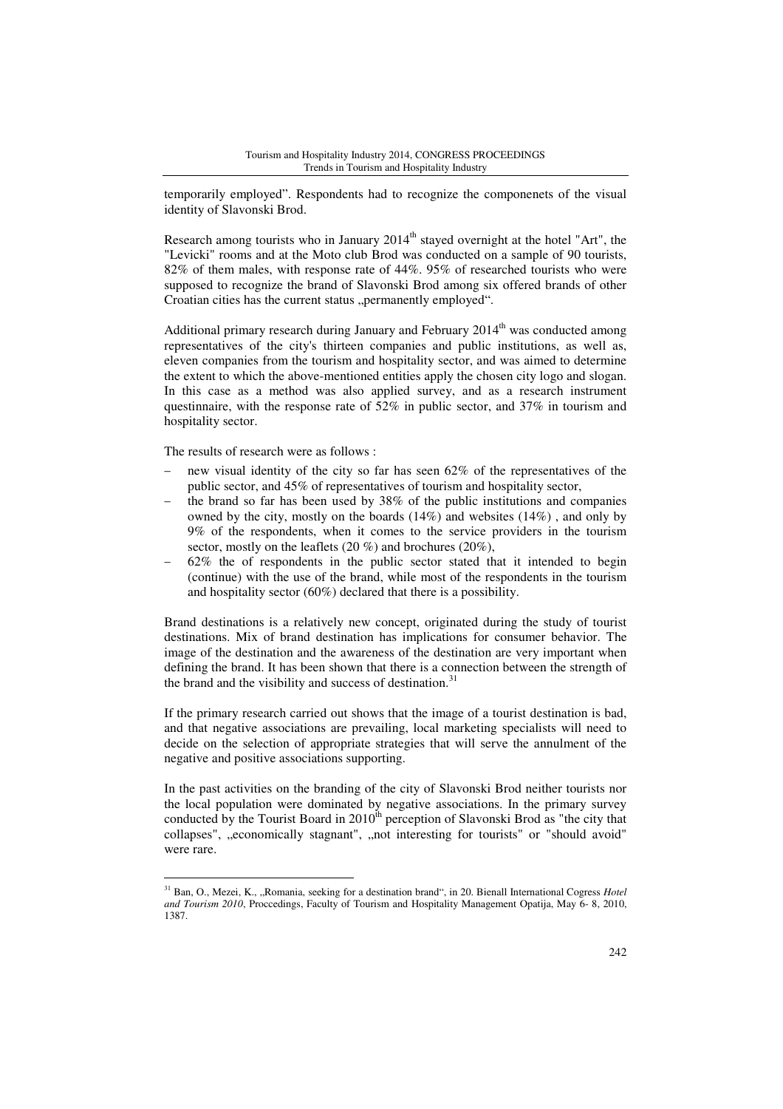temporarily employed". Respondents had to recognize the componenets of the visual identity of Slavonski Brod.

Research among tourists who in January  $2014<sup>th</sup>$  stayed overnight at the hotel "Art", the "Levicki" rooms and at the Moto club Brod was conducted on a sample of 90 tourists, 82% of them males, with response rate of 44%. 95% of researched tourists who were supposed to recognize the brand of Slavonski Brod among six offered brands of other Croatian cities has the current status "permanently employed".

Additional primary research during January and February  $2014<sup>th</sup>$  was conducted among representatives of the city's thirteen companies and public institutions, as well as, eleven companies from the tourism and hospitality sector, and was aimed to determine the extent to which the above-mentioned entities apply the chosen city logo and slogan. In this case as a method was also applied survey, and as a research instrument questinnaire, with the response rate of 52% in public sector, and 37% in tourism and hospitality sector.

The results of research were as follows :

 $\overline{a}$ 

- new visual identity of the city so far has seen 62% of the representatives of the public sector, and 45% of representatives of tourism and hospitality sector,
- the brand so far has been used by  $38\%$  of the public institutions and companies owned by the city, mostly on the boards (14%) and websites (14%) , and only by 9% of the respondents, when it comes to the service providers in the tourism sector, mostly on the leaflets (20 %) and brochures (20%),
- − 62% the of respondents in the public sector stated that it intended to begin (continue) with the use of the brand, while most of the respondents in the tourism and hospitality sector (60%) declared that there is a possibility.

Brand destinations is a relatively new concept, originated during the study of tourist destinations. Mix of brand destination has implications for consumer behavior. The image of the destination and the awareness of the destination are very important when defining the brand. It has been shown that there is a connection between the strength of the brand and the visibility and success of destination.<sup>31</sup>

If the primary research carried out shows that the image of a tourist destination is bad, and that negative associations are prevailing, local marketing specialists will need to decide on the selection of appropriate strategies that will serve the annulment of the negative and positive associations supporting.

In the past activities on the branding of the city of Slavonski Brod neither tourists nor the local population were dominated by negative associations. In the primary survey conducted by the Tourist Board in  $2010^{th}$  perception of Slavonski Brod as "the city that collapses", "economically stagnant", "not interesting for tourists" or "should avoid" were rare.

<sup>&</sup>lt;sup>31</sup> Ban, O., Mezei, K., "Romania, seeking for a destination brand", in 20. Bienall International Cogress *Hotel and Tourism 2010*, Proccedings, Faculty of Tourism and Hospitality Management Opatija, May 6- 8, 2010, 1387.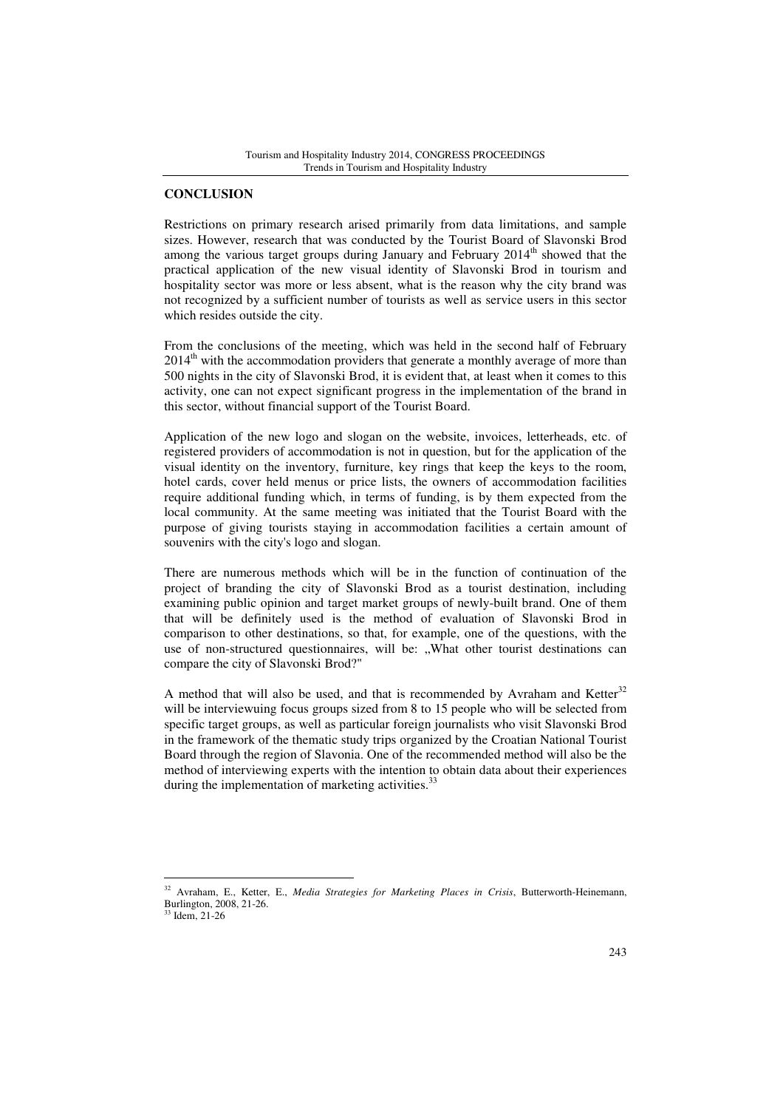#### **CONCLUSION**

Restrictions on primary research arised primarily from data limitations, and sample sizes. However, research that was conducted by the Tourist Board of Slavonski Brod among the various target groups during January and February  $2014<sup>th</sup>$  showed that the practical application of the new visual identity of Slavonski Brod in tourism and hospitality sector was more or less absent, what is the reason why the city brand was not recognized by a sufficient number of tourists as well as service users in this sector which resides outside the city.

From the conclusions of the meeting, which was held in the second half of February 2014<sup>th</sup> with the accommodation providers that generate a monthly average of more than 500 nights in the city of Slavonski Brod, it is evident that, at least when it comes to this activity, one can not expect significant progress in the implementation of the brand in this sector, without financial support of the Tourist Board.

Application of the new logo and slogan on the website, invoices, letterheads, etc. of registered providers of accommodation is not in question, but for the application of the visual identity on the inventory, furniture, key rings that keep the keys to the room, hotel cards, cover held menus or price lists, the owners of accommodation facilities require additional funding which, in terms of funding, is by them expected from the local community. At the same meeting was initiated that the Tourist Board with the purpose of giving tourists staying in accommodation facilities a certain amount of souvenirs with the city's logo and slogan.

There are numerous methods which will be in the function of continuation of the project of branding the city of Slavonski Brod as a tourist destination, including examining public opinion and target market groups of newly-built brand. One of them that will be definitely used is the method of evaluation of Slavonski Brod in comparison to other destinations, so that, for example, one of the questions, with the use of non-structured questionnaires, will be: "What other tourist destinations can compare the city of Slavonski Brod?"

A method that will also be used, and that is recommended by Avraham and Ketter $32$ will be interviewuing focus groups sized from 8 to 15 people who will be selected from specific target groups, as well as particular foreign journalists who visit Slavonski Brod in the framework of the thematic study trips organized by the Croatian National Tourist Board through the region of Slavonia. One of the recommended method will also be the method of interviewing experts with the intention to obtain data about their experiences during the implementation of marketing activities.<sup>3</sup>

<sup>32</sup> Avraham, E., Ketter, E., *Media Strategies for Marketing Places in Crisis*, Butterworth-Heinemann, Burlington, 2008, 21-26.

<sup>33</sup> Idem, 21-26